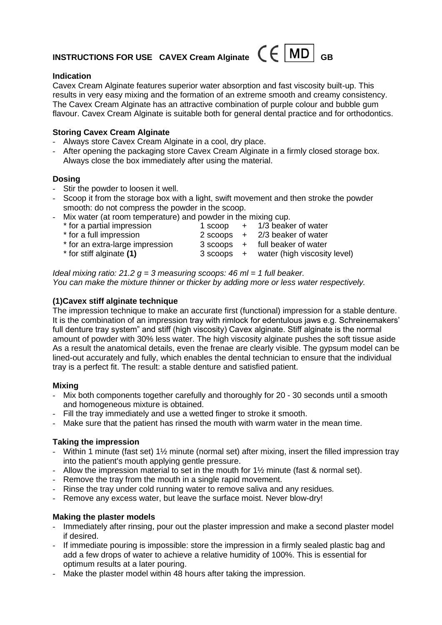# **INSTRUCTIONS FOR USE CAVEX Cream Alginate**  $\mathcal{C} \in \mathcal{M}$ **D**

#### **Indication**

Cavex Cream Alginate features superior water absorption and fast viscosity built-up. This results in very easy mixing and the formation of an extreme smooth and creamy consistency. The Cavex Cream Alginate has an attractive combination of purple colour and bubble gum flavour. Cavex Cream Alginate is suitable both for general dental practice and for orthodontics.

#### **Storing Cavex Cream Alginate**

- Always store Cavex Cream Alginate in a cool, dry place.
- After opening the packaging store Cavex Cream Alginate in a firmly closed storage box. Always close the box immediately after using the material.

#### **Dosing**

- Stir the powder to loosen it well.
- Scoop it from the storage box with a light, swift movement and then stroke the powder smooth: do not compress the powder in the scoop.
- Mix water (at room temperature) and powder in the mixing cup.

| * for a partial impression      |  | 1 scoop $+$ 1/3 beaker of water         |
|---------------------------------|--|-----------------------------------------|
| * for a full impression         |  | $2$ scoops $+$ $2/3$ beaker of water    |
| * for an extra-large impression |  | 3 scoops + full beaker of water         |
| * for stiff alginate (1)        |  | 3 scoops + water (high viscosity level) |

*Ideal mixing ratio: 21.2 g = 3 measuring scoops: 46 ml = 1 full beaker. You can make the mixture thinner or thicker by adding more or less water respectively.*

## **(1)Cavex stiff alginate technique**

The impression technique to make an accurate first (functional) impression for a stable denture. It is the combination of an impression tray with rimlock for edentulous jaws e.g. Schreinemakers' full denture tray system" and stiff (high viscosity) Cavex alginate. Stiff alginate is the normal amount of powder with 30% less water. The high viscosity alginate pushes the soft tissue aside As a result the anatomical details, even the frenae are clearly visible. The gypsum model can be lined-out accurately and fully, which enables the dental technician to ensure that the individual tray is a perfect fit. The result: a stable denture and satisfied patient.

## **Mixing**

- Mix both components together carefully and thoroughly for 20 30 seconds until a smooth and homogeneous mixture is obtained.
- Fill the tray immediately and use a wetted finger to stroke it smooth.
- Make sure that the patient has rinsed the mouth with warm water in the mean time.

## **Taking the impression**

- Within 1 minute (fast set) 1½ minute (normal set) after mixing, insert the filled impression tray into the patient's mouth applying gentle pressure.
- Allow the impression material to set in the mouth for 1½ minute (fast & normal set).
- Remove the tray from the mouth in a single rapid movement.
- Rinse the tray under cold running water to remove saliva and any residues.
- Remove any excess water, but leave the surface moist. Never blow-dry!

## **Making the plaster models**

- Immediately after rinsing, pour out the plaster impression and make a second plaster model if desired.
- If immediate pouring is impossible: store the impression in a firmly sealed plastic bag and add a few drops of water to achieve a relative humidity of 100%. This is essential for optimum results at a later pouring.
- Make the plaster model within 48 hours after taking the impression.